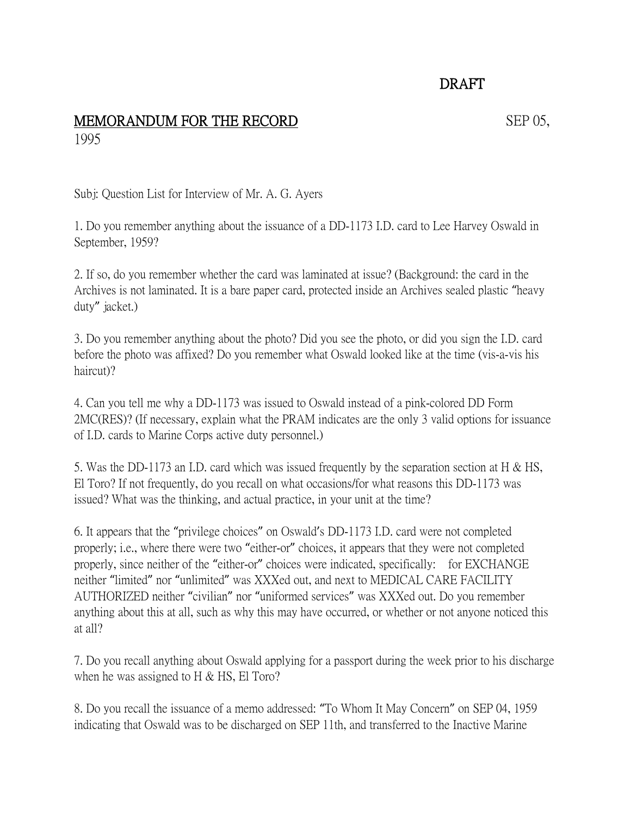## DRAFT

## MEMORANDUM FOR THE RECORD SEP 05, 1995

Subj: Question List for Interview of Mr. A. G. Ayers

1. Do you remember anything about the issuance of a DD-1173 I.D. card to Lee Harvey Oswald in September, 1959?

2. If so, do you remember whether the card was laminated at issue? (Background: the card in the Archives is not laminated. It is a bare paper card, protected inside an Archives sealed plastic "heavy duty" jacket.)

3. Do you remember anything about the photo? Did you see the photo, or did you sign the I.D. card before the photo was affixed? Do you remember what Oswald looked like at the time (vis-a-vis his haircut)?

4. Can you tell me why a DD-1173 was issued to Oswald instead of a pink-colored DD Form 2MC(RES)? (If necessary, explain what the PRAM indicates are the only 3 valid options for issuance of I.D. cards to Marine Corps active duty personnel.)

5. Was the DD-1173 an I.D. card which was issued frequently by the separation section at H & HS, El Toro? If not frequently, do you recall on what occasions/for what reasons this DD-1173 was issued? What was the thinking, and actual practice, in your unit at the time?

6. It appears that the "privilege choices" on Oswald's DD-1173 I.D. card were not completed properly; i.e., where there were two "either-or" choices, it appears that they were not completed properly, since neither of the "either-or" choices were indicated, specifically: for EXCHANGE neither "limited" nor "unlimited" was XXXed out, and next to MEDICAL CARE FACILITY AUTHORIZED neither "civilian" nor "uniformed services" was XXXed out. Do you remember anything about this at all, such as why this may have occurred, or whether or not anyone noticed this at all?

7. Do you recall anything about Oswald applying for a passport during the week prior to his discharge when he was assigned to  $H \& HS$ , El Toro?

8. Do you recall the issuance of a memo addressed: "To Whom It May Concern" on SEP 04, 1959 indicating that Oswald was to be discharged on SEP 11th, and transferred to the Inactive Marine